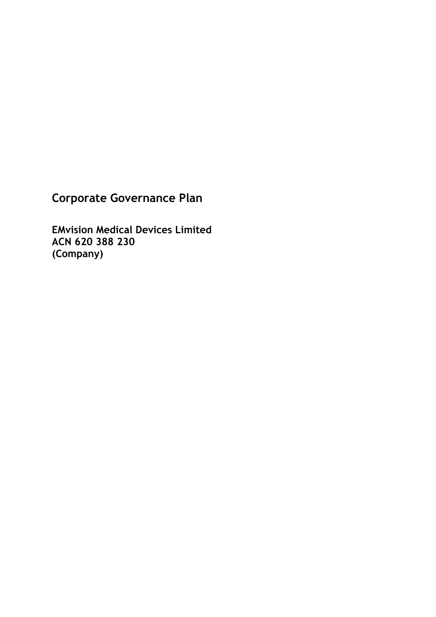**Corporate Governance Plan**

**EMvision Medical Devices Limited ACN 620 388 230 (Company)**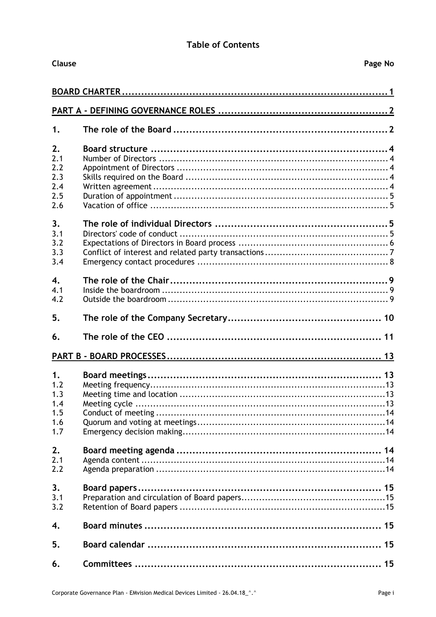### **Table of Contents**

| <b>Clause</b> |  | Page No |  |  |  |
|---------------|--|---------|--|--|--|
|               |  |         |  |  |  |
|               |  |         |  |  |  |
| 1.            |  |         |  |  |  |
| 2.            |  |         |  |  |  |
| 2.1           |  |         |  |  |  |
| 2.2           |  |         |  |  |  |
| 2.3           |  |         |  |  |  |
| 2.4           |  |         |  |  |  |
| 2.5           |  |         |  |  |  |
| 2.6           |  |         |  |  |  |
| 3.            |  |         |  |  |  |
| 3.1           |  |         |  |  |  |
| 3.2           |  |         |  |  |  |
| 3.3           |  |         |  |  |  |
| 3.4           |  |         |  |  |  |
| 4.            |  |         |  |  |  |
| 4.1           |  |         |  |  |  |
| 4.2           |  |         |  |  |  |
| 5.            |  |         |  |  |  |
| 6.            |  |         |  |  |  |
|               |  |         |  |  |  |
|               |  |         |  |  |  |
| 1.            |  |         |  |  |  |
| 1.2           |  |         |  |  |  |
| 1.3           |  |         |  |  |  |
| 1.4           |  |         |  |  |  |
| 1.5<br>1.6    |  |         |  |  |  |
| 1.7           |  |         |  |  |  |
|               |  |         |  |  |  |
| 2.            |  |         |  |  |  |
| 2.1           |  |         |  |  |  |
| 2.2           |  |         |  |  |  |
| 3.            |  |         |  |  |  |
| 3.1           |  |         |  |  |  |
| 3.2           |  |         |  |  |  |
| 4.            |  |         |  |  |  |
| 5.            |  |         |  |  |  |
| 6.            |  |         |  |  |  |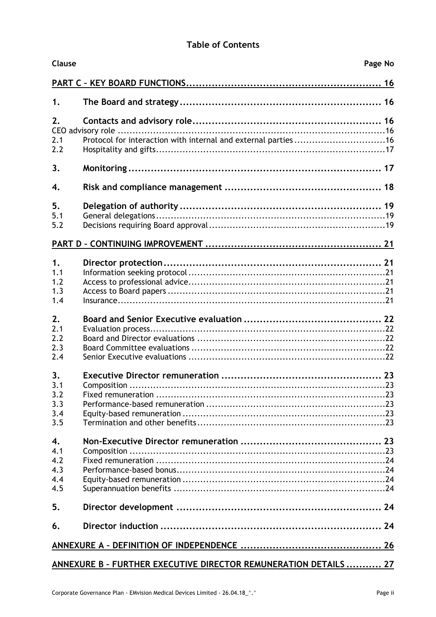### **Table of Contents**

| Clause           | Page No                                                          |  |
|------------------|------------------------------------------------------------------|--|
|                  |                                                                  |  |
| 1.               |                                                                  |  |
| 2.               |                                                                  |  |
|                  |                                                                  |  |
| 2.1              | Protocol for interaction with internal and external parties 16   |  |
| 2.2              |                                                                  |  |
| 3.               |                                                                  |  |
| $\overline{4}$ . |                                                                  |  |
| 5.               |                                                                  |  |
| 5.1              |                                                                  |  |
| 5.2              |                                                                  |  |
|                  |                                                                  |  |
| 1.               |                                                                  |  |
| 1.1              |                                                                  |  |
| 1.2              |                                                                  |  |
| 1.3              |                                                                  |  |
| 1.4              |                                                                  |  |
| 2.               |                                                                  |  |
| 2.1              |                                                                  |  |
| 2.2              |                                                                  |  |
| 2.3              |                                                                  |  |
|                  |                                                                  |  |
| 2.4              |                                                                  |  |
| 3.               |                                                                  |  |
| 3.1              |                                                                  |  |
| 3.2              |                                                                  |  |
| 3.3              |                                                                  |  |
| 3.4              |                                                                  |  |
| 3.5              |                                                                  |  |
| 4.               |                                                                  |  |
| 4.1              |                                                                  |  |
| 4.2              |                                                                  |  |
| 4.3              |                                                                  |  |
| 4.4              |                                                                  |  |
| 4.5              |                                                                  |  |
| 5.               |                                                                  |  |
| 6.               |                                                                  |  |
|                  |                                                                  |  |
|                  | ANNEXURE B - FURTHER EXECUTIVE DIRECTOR REMUNERATION DETAILS  27 |  |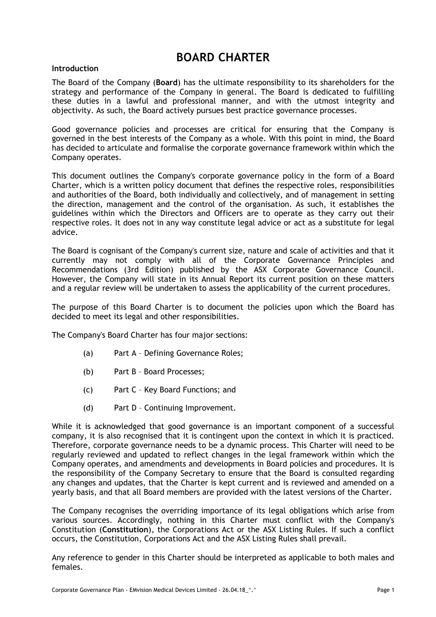# **BOARD CHARTER**

#### <span id="page-3-0"></span>**Introduction**

The Board of the Company (**Board**) has the ultimate responsibility to its shareholders for the strategy and performance of the Company in general. The Board is dedicated to fulfilling these duties in a lawful and professional manner, and with the utmost integrity and objectivity. As such, the Board actively pursues best practice governance processes.

Good governance policies and processes are critical for ensuring that the Company is governed in the best interests of the Company as a whole. With this point in mind, the Board has decided to articulate and formalise the corporate governance framework within which the Company operates.

This document outlines the Company's corporate governance policy in the form of a Board Charter, which is a written policy document that defines the respective roles, responsibilities and authorities of the Board, both individually and collectively, and of management in setting the direction, management and the control of the organisation. As such, it establishes the guidelines within which the Directors and Officers are to operate as they carry out their respective roles. It does not in any way constitute legal advice or act as a substitute for legal advice.

The Board is cognisant of the Company's current size, nature and scale of activities and that it currently may not comply with all of the Corporate Governance Principles and Recommendations (3rd Edition) published by the ASX Corporate Governance Council. However, the Company will state in its Annual Report its current position on these matters and a regular review will be undertaken to assess the applicability of the current procedures.

The purpose of this Board Charter is to document the policies upon which the Board has decided to meet its legal and other responsibilities.

The Company's Board Charter has four major sections:

- (a) Part A Defining Governance Roles;
- (b) Part B Board Processes;
- (c) Part C Key Board Functions; and
- (d) Part D Continuing Improvement.

While it is acknowledged that good governance is an important component of a successful company, it is also recognised that it is contingent upon the context in which it is practiced. Therefore, corporate governance needs to be a dynamic process. This Charter will need to be regularly reviewed and updated to reflect changes in the legal framework within which the Company operates, and amendments and developments in Board policies and procedures. It is the responsibility of the Company Secretary to ensure that the Board is consulted regarding any changes and updates, that the Charter is kept current and is reviewed and amended on a yearly basis, and that all Board members are provided with the latest versions of the Charter.

The Company recognises the overriding importance of its legal obligations which arise from various sources. Accordingly, nothing in this Charter must conflict with the Company's Constitution (**Constitution**), the Corporations Act or the ASX Listing Rules. If such a conflict occurs, the Constitution, Corporations Act and the ASX Listing Rules shall prevail.

Any reference to gender in this Charter should be interpreted as applicable to both males and females.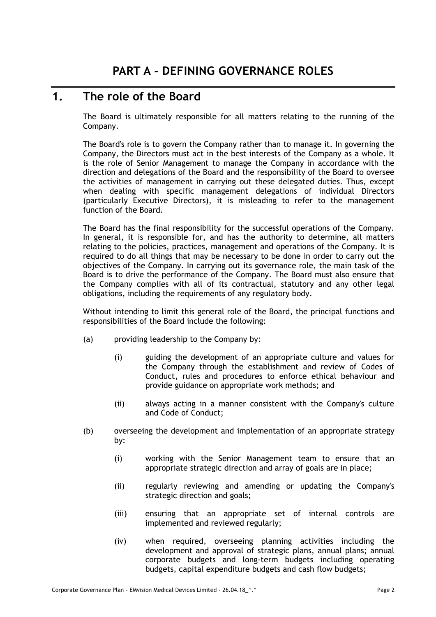## <span id="page-4-1"></span><span id="page-4-0"></span>**1. The role of the Board**

The Board is ultimately responsible for all matters relating to the running of the Company.

The Board's role is to govern the Company rather than to manage it. In governing the Company, the Directors must act in the best interests of the Company as a whole. It is the role of Senior Management to manage the Company in accordance with the direction and delegations of the Board and the responsibility of the Board to oversee the activities of management in carrying out these delegated duties. Thus, except when dealing with specific management delegations of individual Directors (particularly Executive Directors), it is misleading to refer to the management function of the Board.

The Board has the final responsibility for the successful operations of the Company. In general, it is responsible for, and has the authority to determine, all matters relating to the policies, practices, management and operations of the Company. It is required to do all things that may be necessary to be done in order to carry out the objectives of the Company. In carrying out its governance role, the main task of the Board is to drive the performance of the Company. The Board must also ensure that the Company complies with all of its contractual, statutory and any other legal obligations, including the requirements of any regulatory body.

Without intending to limit this general role of the Board, the principal functions and responsibilities of the Board include the following:

- (a) providing leadership to the Company by:
	- (i) guiding the development of an appropriate culture and values for the Company through the establishment and review of Codes of Conduct, rules and procedures to enforce ethical behaviour and provide guidance on appropriate work methods; and
	- (ii) always acting in a manner consistent with the Company's culture and Code of Conduct;
- (b) overseeing the development and implementation of an appropriate strategy by:
	- (i) working with the Senior Management team to ensure that an appropriate strategic direction and array of goals are in place;
	- (ii) regularly reviewing and amending or updating the Company's strategic direction and goals;
	- (iii) ensuring that an appropriate set of internal controls are implemented and reviewed regularly;
	- (iv) when required, overseeing planning activities including the development and approval of strategic plans, annual plans; annual corporate budgets and long-term budgets including operating budgets, capital expenditure budgets and cash flow budgets;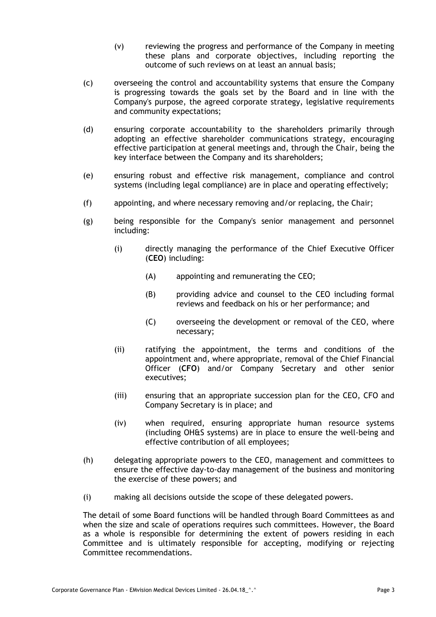- (v) reviewing the progress and performance of the Company in meeting these plans and corporate objectives, including reporting the outcome of such reviews on at least an annual basis;
- (c) overseeing the control and accountability systems that ensure the Company is progressing towards the goals set by the Board and in line with the Company's purpose, the agreed corporate strategy, legislative requirements and community expectations;
- (d) ensuring corporate accountability to the shareholders primarily through adopting an effective shareholder communications strategy, encouraging effective participation at general meetings and, through the Chair, being the key interface between the Company and its shareholders;
- (e) ensuring robust and effective risk management, compliance and control systems (including legal compliance) are in place and operating effectively;
- (f) appointing, and where necessary removing and/or replacing, the Chair;
- (g) being responsible for the Company's senior management and personnel including:
	- (i) directly managing the performance of the Chief Executive Officer (**CEO**) including:
		- (A) appointing and remunerating the CEO;
		- (B) providing advice and counsel to the CEO including formal reviews and feedback on his or her performance; and
		- (C) overseeing the development or removal of the CEO, where necessary;
	- (ii) ratifying the appointment, the terms and conditions of the appointment and, where appropriate, removal of the Chief Financial Officer (**CFO**) and/or Company Secretary and other senior executives;
	- (iii) ensuring that an appropriate succession plan for the CEO, CFO and Company Secretary is in place; and
	- (iv) when required, ensuring appropriate human resource systems (including OH&S systems) are in place to ensure the well-being and effective contribution of all employees;
- (h) delegating appropriate powers to the CEO, management and committees to ensure the effective day-to-day management of the business and monitoring the exercise of these powers; and
- (i) making all decisions outside the scope of these delegated powers.

The detail of some Board functions will be handled through Board Committees as and when the size and scale of operations requires such committees. However, the Board as a whole is responsible for determining the extent of powers residing in each Committee and is ultimately responsible for accepting, modifying or rejecting Committee recommendations.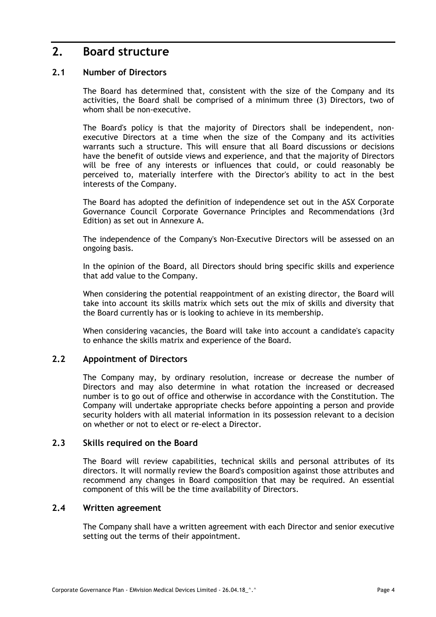## <span id="page-6-0"></span>**2. Board structure**

### <span id="page-6-1"></span>**2.1 Number of Directors**

The Board has determined that, consistent with the size of the Company and its activities, the Board shall be comprised of a minimum three (3) Directors, two of whom shall be non-executive.

The Board's policy is that the majority of Directors shall be independent, nonexecutive Directors at a time when the size of the Company and its activities warrants such a structure. This will ensure that all Board discussions or decisions have the benefit of outside views and experience, and that the majority of Directors will be free of any interests or influences that could, or could reasonably be perceived to, materially interfere with the Director's ability to act in the best interests of the Company.

The Board has adopted the definition of independence set out in the ASX Corporate Governance Council Corporate Governance Principles and Recommendations (3rd Edition) as set out in Annexure A.

The independence of the Company's Non-Executive Directors will be assessed on an ongoing basis.

In the opinion of the Board, all Directors should bring specific skills and experience that add value to the Company.

When considering the potential reappointment of an existing director, the Board will take into account its skills matrix which sets out the mix of skills and diversity that the Board currently has or is looking to achieve in its membership.

When considering vacancies, the Board will take into account a candidate's capacity to enhance the skills matrix and experience of the Board.

#### <span id="page-6-2"></span>**2.2 Appointment of Directors**

The Company may, by ordinary resolution, increase or decrease the number of Directors and may also determine in what rotation the increased or decreased number is to go out of office and otherwise in accordance with the Constitution. The Company will undertake appropriate checks before appointing a person and provide security holders with all material information in its possession relevant to a decision on whether or not to elect or re-elect a Director.

#### <span id="page-6-3"></span>**2.3 Skills required on the Board**

The Board will review capabilities, technical skills and personal attributes of its directors. It will normally review the Board's composition against those attributes and recommend any changes in Board composition that may be required. An essential component of this will be the time availability of Directors.

#### <span id="page-6-4"></span>**2.4 Written agreement**

The Company shall have a written agreement with each Director and senior executive setting out the terms of their appointment.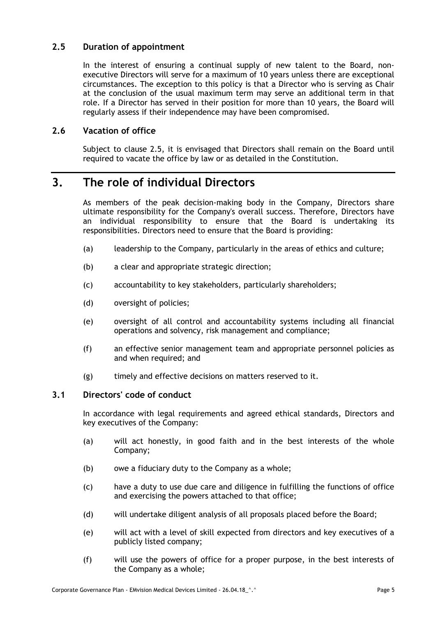### <span id="page-7-0"></span>**2.5 Duration of appointment**

In the interest of ensuring a continual supply of new talent to the Board, nonexecutive Directors will serve for a maximum of 10 years unless there are exceptional circumstances. The exception to this policy is that a Director who is serving as Chair at the conclusion of the usual maximum term may serve an additional term in that role. If a Director has served in their position for more than 10 years, the Board will regularly assess if their independence may have been compromised.

### <span id="page-7-1"></span>**2.6 Vacation of office**

Subject to clause [2.5,](#page-7-0) it is envisaged that Directors shall remain on the Board until required to vacate the office by law or as detailed in the Constitution.

## <span id="page-7-2"></span>**3. The role of individual Directors**

As members of the peak decision-making body in the Company, Directors share ultimate responsibility for the Company's overall success. Therefore, Directors have an individual responsibility to ensure that the Board is undertaking its responsibilities. Directors need to ensure that the Board is providing:

- (a) leadership to the Company, particularly in the areas of ethics and culture;
- (b) a clear and appropriate strategic direction;
- (c) accountability to key stakeholders, particularly shareholders;
- (d) oversight of policies;
- (e) oversight of all control and accountability systems including all financial operations and solvency, risk management and compliance;
- (f) an effective senior management team and appropriate personnel policies as and when required; and
- (g) timely and effective decisions on matters reserved to it.

### <span id="page-7-3"></span>**3.1 Directors' code of conduct**

In accordance with legal requirements and agreed ethical standards, Directors and key executives of the Company:

- (a) will act honestly, in good faith and in the best interests of the whole Company;
- (b) owe a fiduciary duty to the Company as a whole;
- (c) have a duty to use due care and diligence in fulfilling the functions of office and exercising the powers attached to that office;
- (d) will undertake diligent analysis of all proposals placed before the Board;
- (e) will act with a level of skill expected from directors and key executives of a publicly listed company;
- (f) will use the powers of office for a proper purpose, in the best interests of the Company as a whole;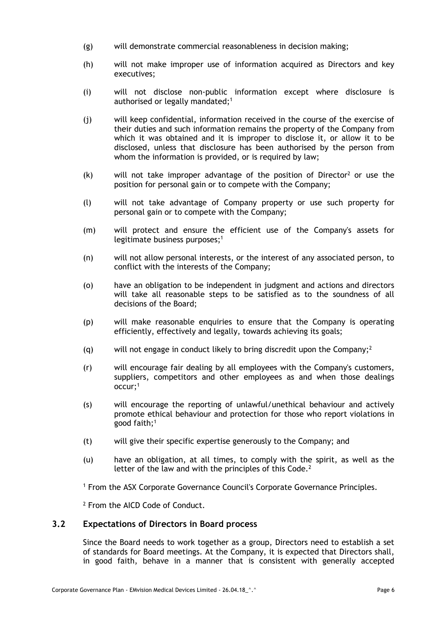- (g) will demonstrate commercial reasonableness in decision making;
- (h) will not make improper use of information acquired as Directors and key executives;
- (i) will not disclose non-public information except where disclosure is authorised or legally mandated;<sup>1</sup>
- (j) will keep confidential, information received in the course of the exercise of their duties and such information remains the property of the Company from which it was obtained and it is improper to disclose it, or allow it to be disclosed, unless that disclosure has been authorised by the person from whom the information is provided, or is required by law;
- $(k)$  will not take improper advantage of the position of Director<sup>2</sup> or use the position for personal gain or to compete with the Company;
- (l) will not take advantage of Company property or use such property for personal gain or to compete with the Company;
- (m) will protect and ensure the efficient use of the Company's assets for legitimate business purposes;<sup>1</sup>
- (n) will not allow personal interests, or the interest of any associated person, to conflict with the interests of the Company;
- (o) have an obligation to be independent in judgment and actions and directors will take all reasonable steps to be satisfied as to the soundness of all decisions of the Board;
- (p) will make reasonable enquiries to ensure that the Company is operating efficiently, effectively and legally, towards achieving its goals;
- (g) will not engage in conduct likely to bring discredit upon the Company:  $2^2$
- (r) will encourage fair dealing by all employees with the Company's customers, suppliers, competitors and other employees as and when those dealings occur;1
- (s) will encourage the reporting of unlawful/unethical behaviour and actively promote ethical behaviour and protection for those who report violations in good faith;1
- (t) will give their specific expertise generously to the Company; and
- (u) have an obligation, at all times, to comply with the spirit, as well as the letter of the law and with the principles of this Code.<sup>2</sup>

<sup>1</sup> From the ASX Corporate Governance Council's Corporate Governance Principles.

<sup>2</sup> From the AICD Code of Conduct.

#### <span id="page-8-0"></span>**3.2 Expectations of Directors in Board process**

Since the Board needs to work together as a group, Directors need to establish a set of standards for Board meetings. At the Company, it is expected that Directors shall, in good faith, behave in a manner that is consistent with generally accepted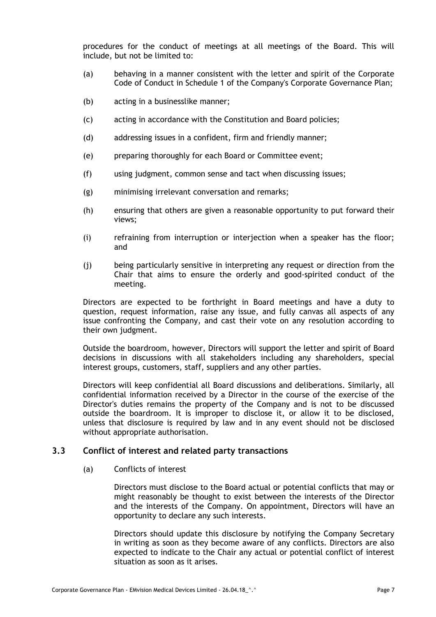procedures for the conduct of meetings at all meetings of the Board. This will include, but not be limited to:

- (a) behaving in a manner consistent with the letter and spirit of the Corporate Code of Conduct in Schedule 1 of the Company's Corporate Governance Plan;
- (b) acting in a businesslike manner;
- (c) acting in accordance with the Constitution and Board policies;
- (d) addressing issues in a confident, firm and friendly manner;
- (e) preparing thoroughly for each Board or Committee event;
- (f) using judgment, common sense and tact when discussing issues;
- (g) minimising irrelevant conversation and remarks;
- (h) ensuring that others are given a reasonable opportunity to put forward their views;
- (i) refraining from interruption or interjection when a speaker has the floor; and
- (j) being particularly sensitive in interpreting any request or direction from the Chair that aims to ensure the orderly and good-spirited conduct of the meeting.

Directors are expected to be forthright in Board meetings and have a duty to question, request information, raise any issue, and fully canvas all aspects of any issue confronting the Company, and cast their vote on any resolution according to their own judgment.

Outside the boardroom, however, Directors will support the letter and spirit of Board decisions in discussions with all stakeholders including any shareholders, special interest groups, customers, staff, suppliers and any other parties.

Directors will keep confidential all Board discussions and deliberations. Similarly, all confidential information received by a Director in the course of the exercise of the Director's duties remains the property of the Company and is not to be discussed outside the boardroom. It is improper to disclose it, or allow it to be disclosed, unless that disclosure is required by law and in any event should not be disclosed without appropriate authorisation.

#### <span id="page-9-0"></span>**3.3 Conflict of interest and related party transactions**

(a) Conflicts of interest

Directors must disclose to the Board actual or potential conflicts that may or might reasonably be thought to exist between the interests of the Director and the interests of the Company. On appointment, Directors will have an opportunity to declare any such interests.

Directors should update this disclosure by notifying the Company Secretary in writing as soon as they become aware of any conflicts. Directors are also expected to indicate to the Chair any actual or potential conflict of interest situation as soon as it arises.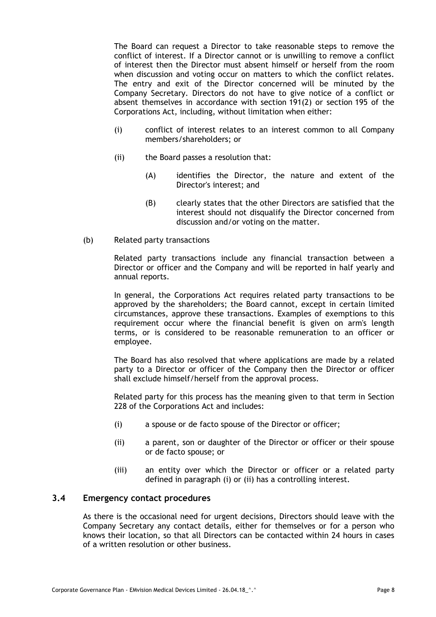The Board can request a Director to take reasonable steps to remove the conflict of interest. If a Director cannot or is unwilling to remove a conflict of interest then the Director must absent himself or herself from the room when discussion and voting occur on matters to which the conflict relates. The entry and exit of the Director concerned will be minuted by the Company Secretary. Directors do not have to give notice of a conflict or absent themselves in accordance with section 191(2) or section 195 of the Corporations Act, including, without limitation when either:

- (i) conflict of interest relates to an interest common to all Company members/shareholders; or
- (ii) the Board passes a resolution that:
	- (A) identifies the Director, the nature and extent of the Director's interest; and
	- (B) clearly states that the other Directors are satisfied that the interest should not disqualify the Director concerned from discussion and/or voting on the matter.
- (b) Related party transactions

Related party transactions include any financial transaction between a Director or officer and the Company and will be reported in half yearly and annual reports.

In general, the Corporations Act requires related party transactions to be approved by the shareholders; the Board cannot, except in certain limited circumstances, approve these transactions. Examples of exemptions to this requirement occur where the financial benefit is given on arm's length terms, or is considered to be reasonable remuneration to an officer or employee.

The Board has also resolved that where applications are made by a related party to a Director or officer of the Company then the Director or officer shall exclude himself/herself from the approval process.

Related party for this process has the meaning given to that term in Section 228 of the Corporations Act and includes:

- <span id="page-10-2"></span><span id="page-10-1"></span>(i) a spouse or de facto spouse of the Director or officer;
- (ii) a parent, son or daughter of the Director or officer or their spouse or de facto spouse; or
- (iii) an entity over which the Director or officer or a related party defined in paragraph [\(i\)](#page-10-1) or [\(ii\)](#page-10-2) has a controlling interest.

#### <span id="page-10-0"></span>**3.4 Emergency contact procedures**

As there is the occasional need for urgent decisions, Directors should leave with the Company Secretary any contact details, either for themselves or for a person who knows their location, so that all Directors can be contacted within 24 hours in cases of a written resolution or other business.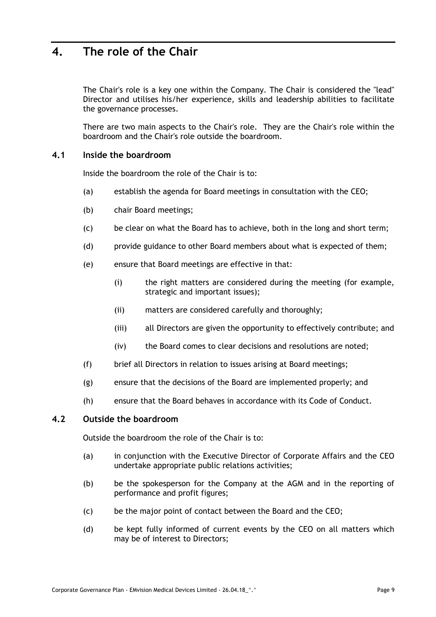## <span id="page-11-0"></span>**4. The role of the Chair**

The Chair's role is a key one within the Company. The Chair is considered the "lead" Director and utilises his/her experience, skills and leadership abilities to facilitate the governance processes.

There are two main aspects to the Chair's role. They are the Chair's role within the boardroom and the Chair's role outside the boardroom.

#### <span id="page-11-1"></span>**4.1 Inside the boardroom**

Inside the boardroom the role of the Chair is to:

- (a) establish the agenda for Board meetings in consultation with the CEO;
- (b) chair Board meetings;
- (c) be clear on what the Board has to achieve, both in the long and short term;
- (d) provide guidance to other Board members about what is expected of them;
- (e) ensure that Board meetings are effective in that:
	- (i) the right matters are considered during the meeting (for example, strategic and important issues);
	- (ii) matters are considered carefully and thoroughly;
	- (iii) all Directors are given the opportunity to effectively contribute; and
	- (iv) the Board comes to clear decisions and resolutions are noted;
- (f) brief all Directors in relation to issues arising at Board meetings;
- (g) ensure that the decisions of the Board are implemented properly; and
- (h) ensure that the Board behaves in accordance with its Code of Conduct.

### <span id="page-11-2"></span>**4.2 Outside the boardroom**

Outside the boardroom the role of the Chair is to:

- (a) in conjunction with the Executive Director of Corporate Affairs and the CEO undertake appropriate public relations activities;
- (b) be the spokesperson for the Company at the AGM and in the reporting of performance and profit figures;
- (c) be the major point of contact between the Board and the CEO;
- (d) be kept fully informed of current events by the CEO on all matters which may be of interest to Directors;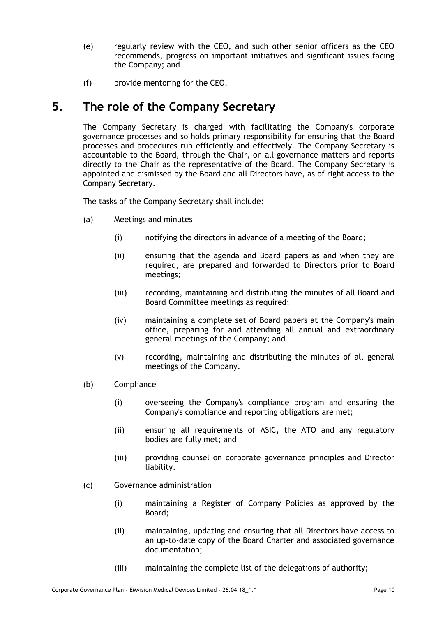- (e) regularly review with the CEO, and such other senior officers as the CEO recommends, progress on important initiatives and significant issues facing the Company; and
- (f) provide mentoring for the CEO.

# <span id="page-12-0"></span>**5. The role of the Company Secretary**

The Company Secretary is charged with facilitating the Company's corporate governance processes and so holds primary responsibility for ensuring that the Board processes and procedures run efficiently and effectively. The Company Secretary is accountable to the Board, through the Chair, on all governance matters and reports directly to the Chair as the representative of the Board. The Company Secretary is appointed and dismissed by the Board and all Directors have, as of right access to the Company Secretary.

The tasks of the Company Secretary shall include:

- (a) Meetings and minutes
	- (i) notifying the directors in advance of a meeting of the Board;
	- (ii) ensuring that the agenda and Board papers as and when they are required, are prepared and forwarded to Directors prior to Board meetings;
	- (iii) recording, maintaining and distributing the minutes of all Board and Board Committee meetings as required;
	- (iv) maintaining a complete set of Board papers at the Company's main office, preparing for and attending all annual and extraordinary general meetings of the Company; and
	- (v) recording, maintaining and distributing the minutes of all general meetings of the Company.
- (b) Compliance
	- (i) overseeing the Company's compliance program and ensuring the Company's compliance and reporting obligations are met;
	- (ii) ensuring all requirements of ASIC, the ATO and any regulatory bodies are fully met; and
	- (iii) providing counsel on corporate governance principles and Director liability.
- (c) Governance administration
	- (i) maintaining a Register of Company Policies as approved by the Board;
	- (ii) maintaining, updating and ensuring that all Directors have access to an up-to-date copy of the Board Charter and associated governance documentation;
	- (iii) maintaining the complete list of the delegations of authority;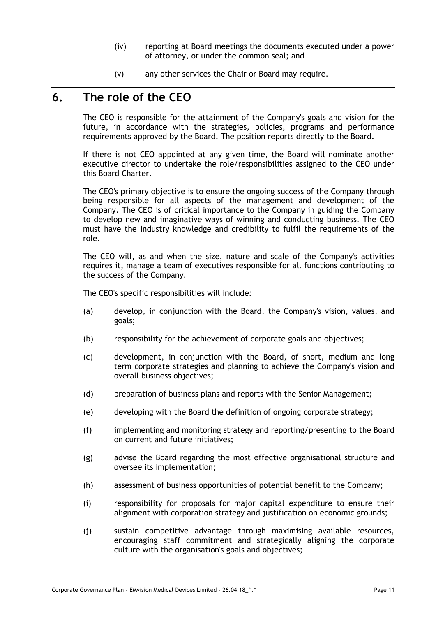- (iv) reporting at Board meetings the documents executed under a power of attorney, or under the common seal; and
- (v) any other services the Chair or Board may require.

## <span id="page-13-0"></span>**6. The role of the CEO**

The CEO is responsible for the attainment of the Company's goals and vision for the future, in accordance with the strategies, policies, programs and performance requirements approved by the Board. The position reports directly to the Board.

If there is not CEO appointed at any given time, the Board will nominate another executive director to undertake the role/responsibilities assigned to the CEO under this Board Charter.

The CEO's primary objective is to ensure the ongoing success of the Company through being responsible for all aspects of the management and development of the Company. The CEO is of critical importance to the Company in guiding the Company to develop new and imaginative ways of winning and conducting business. The CEO must have the industry knowledge and credibility to fulfil the requirements of the role.

The CEO will, as and when the size, nature and scale of the Company's activities requires it, manage a team of executives responsible for all functions contributing to the success of the Company.

The CEO's specific responsibilities will include:

- (a) develop, in conjunction with the Board, the Company's vision, values, and goals;
- (b) responsibility for the achievement of corporate goals and objectives;
- (c) development, in conjunction with the Board, of short, medium and long term corporate strategies and planning to achieve the Company's vision and overall business objectives;
- (d) preparation of business plans and reports with the Senior Management;
- (e) developing with the Board the definition of ongoing corporate strategy;
- (f) implementing and monitoring strategy and reporting/presenting to the Board on current and future initiatives;
- (g) advise the Board regarding the most effective organisational structure and oversee its implementation;
- (h) assessment of business opportunities of potential benefit to the Company;
- (i) responsibility for proposals for major capital expenditure to ensure their alignment with corporation strategy and justification on economic grounds;
- (j) sustain competitive advantage through maximising available resources, encouraging staff commitment and strategically aligning the corporate culture with the organisation's goals and objectives;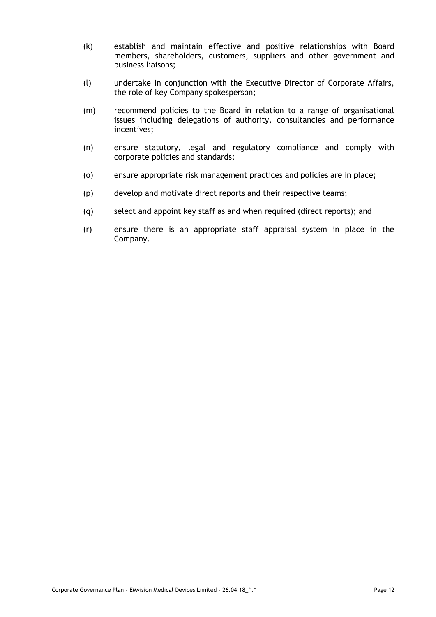- (k) establish and maintain effective and positive relationships with Board members, shareholders, customers, suppliers and other government and business liaisons;
- (l) undertake in conjunction with the Executive Director of Corporate Affairs, the role of key Company spokesperson;
- (m) recommend policies to the Board in relation to a range of organisational issues including delegations of authority, consultancies and performance incentives;
- (n) ensure statutory, legal and regulatory compliance and comply with corporate policies and standards;
- (o) ensure appropriate risk management practices and policies are in place;
- (p) develop and motivate direct reports and their respective teams;
- (q) select and appoint key staff as and when required (direct reports); and
- (r) ensure there is an appropriate staff appraisal system in place in the Company.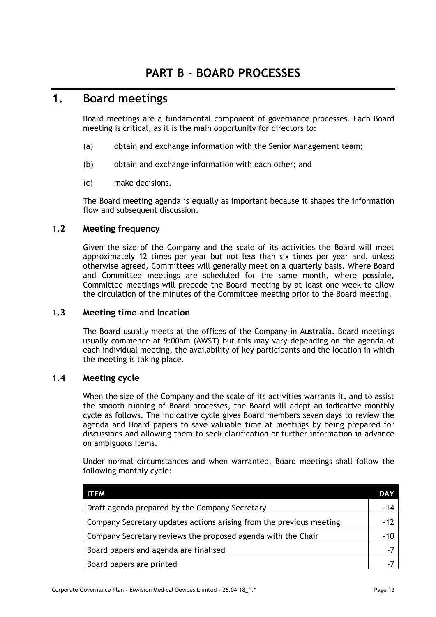## <span id="page-15-1"></span><span id="page-15-0"></span>**1. Board meetings**

Board meetings are a fundamental component of governance processes. Each Board meeting is critical, as it is the main opportunity for directors to:

- (a) obtain and exchange information with the Senior Management team;
- (b) obtain and exchange information with each other; and
- (c) make decisions.

The Board meeting agenda is equally as important because it shapes the information flow and subsequent discussion.

### <span id="page-15-2"></span>**1.2 Meeting frequency**

Given the size of the Company and the scale of its activities the Board will meet approximately 12 times per year but not less than six times per year and, unless otherwise agreed, Committees will generally meet on a quarterly basis. Where Board and Committee meetings are scheduled for the same month, where possible, Committee meetings will precede the Board meeting by at least one week to allow the circulation of the minutes of the Committee meeting prior to the Board meeting.

### <span id="page-15-3"></span>**1.3 Meeting time and location**

The Board usually meets at the offices of the Company in Australia. Board meetings usually commence at 9:00am (AWST) but this may vary depending on the agenda of each individual meeting, the availability of key participants and the location in which the meeting is taking place.

### <span id="page-15-4"></span>**1.4 Meeting cycle**

When the size of the Company and the scale of its activities warrants it, and to assist the smooth running of Board processes, the Board will adopt an indicative monthly cycle as follows. The indicative cycle gives Board members seven days to review the agenda and Board papers to save valuable time at meetings by being prepared for discussions and allowing them to seek clarification or further information in advance on ambiguous items.

Under normal circumstances and when warranted, Board meetings shall follow the following monthly cycle:

| <b>ITEM</b>                                                         | <b>DAY</b> |
|---------------------------------------------------------------------|------------|
| Draft agenda prepared by the Company Secretary                      |            |
| Company Secretary updates actions arising from the previous meeting | $-12$      |
| Company Secretary reviews the proposed agenda with the Chair        |            |
| Board papers and agenda are finalised                               | $-7$       |
| Board papers are printed                                            |            |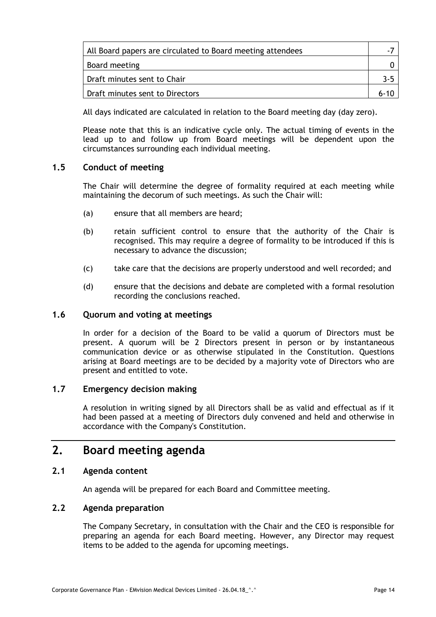| All Board papers are circulated to Board meeting attendees |          |
|------------------------------------------------------------|----------|
| Board meeting                                              |          |
| Draft minutes sent to Chair                                | 3-5      |
| Draft minutes sent to Directors                            | $6 - 10$ |

All days indicated are calculated in relation to the Board meeting day (day zero).

Please note that this is an indicative cycle only. The actual timing of events in the lead up to and follow up from Board meetings will be dependent upon the circumstances surrounding each individual meeting.

#### <span id="page-16-0"></span>**1.5 Conduct of meeting**

The Chair will determine the degree of formality required at each meeting while maintaining the decorum of such meetings. As such the Chair will:

- (a) ensure that all members are heard;
- (b) retain sufficient control to ensure that the authority of the Chair is recognised. This may require a degree of formality to be introduced if this is necessary to advance the discussion;
- (c) take care that the decisions are properly understood and well recorded; and
- (d) ensure that the decisions and debate are completed with a formal resolution recording the conclusions reached.

#### <span id="page-16-1"></span>**1.6 Quorum and voting at meetings**

In order for a decision of the Board to be valid a quorum of Directors must be present. A quorum will be 2 Directors present in person or by instantaneous communication device or as otherwise stipulated in the Constitution. Questions arising at Board meetings are to be decided by a majority vote of Directors who are present and entitled to vote.

### <span id="page-16-2"></span>**1.7 Emergency decision making**

A resolution in writing signed by all Directors shall be as valid and effectual as if it had been passed at a meeting of Directors duly convened and held and otherwise in accordance with the Company's Constitution.

## <span id="page-16-3"></span>**2. Board meeting agenda**

#### <span id="page-16-4"></span>**2.1 Agenda content**

An agenda will be prepared for each Board and Committee meeting.

#### <span id="page-16-5"></span>**2.2 Agenda preparation**

The Company Secretary, in consultation with the Chair and the CEO is responsible for preparing an agenda for each Board meeting. However, any Director may request items to be added to the agenda for upcoming meetings.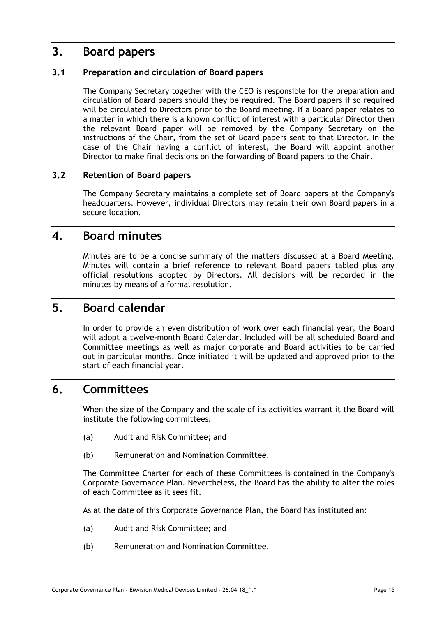## <span id="page-17-0"></span>**3. Board papers**

### <span id="page-17-1"></span>**3.1 Preparation and circulation of Board papers**

The Company Secretary together with the CEO is responsible for the preparation and circulation of Board papers should they be required. The Board papers if so required will be circulated to Directors prior to the Board meeting. If a Board paper relates to a matter in which there is a known conflict of interest with a particular Director then the relevant Board paper will be removed by the Company Secretary on the instructions of the Chair, from the set of Board papers sent to that Director. In the case of the Chair having a conflict of interest, the Board will appoint another Director to make final decisions on the forwarding of Board papers to the Chair.

### <span id="page-17-2"></span>**3.2 Retention of Board papers**

The Company Secretary maintains a complete set of Board papers at the Company's headquarters. However, individual Directors may retain their own Board papers in a secure location.

## <span id="page-17-3"></span>**4. Board minutes**

Minutes are to be a concise summary of the matters discussed at a Board Meeting. Minutes will contain a brief reference to relevant Board papers tabled plus any official resolutions adopted by Directors. All decisions will be recorded in the minutes by means of a formal resolution.

## <span id="page-17-4"></span>**5. Board calendar**

In order to provide an even distribution of work over each financial year, the Board will adopt a twelve-month Board Calendar. Included will be all scheduled Board and Committee meetings as well as major corporate and Board activities to be carried out in particular months. Once initiated it will be updated and approved prior to the start of each financial year.

## <span id="page-17-5"></span>**6. Committees**

When the size of the Company and the scale of its activities warrant it the Board will institute the following committees:

- (a) Audit and Risk Committee; and
- (b) Remuneration and Nomination Committee.

The Committee Charter for each of these Committees is contained in the Company's Corporate Governance Plan. Nevertheless, the Board has the ability to alter the roles of each Committee as it sees fit.

As at the date of this Corporate Governance Plan, the Board has instituted an:

- (a) Audit and Risk Committee; and
- (b) Remuneration and Nomination Committee.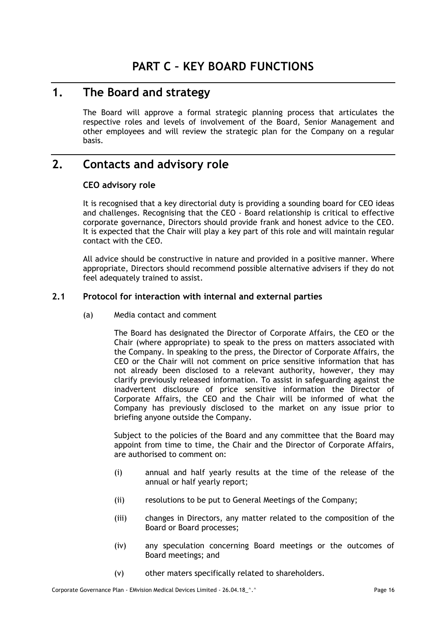## <span id="page-18-1"></span><span id="page-18-0"></span>**1. The Board and strategy**

The Board will approve a formal strategic planning process that articulates the respective roles and levels of involvement of the Board, Senior Management and other employees and will review the strategic plan for the Company on a regular basis.

# <span id="page-18-3"></span><span id="page-18-2"></span>**2. Contacts and advisory role**

### **CEO advisory role**

It is recognised that a key directorial duty is providing a sounding board for CEO ideas and challenges. Recognising that the CEO - Board relationship is critical to effective corporate governance, Directors should provide frank and honest advice to the CEO. It is expected that the Chair will play a key part of this role and will maintain regular contact with the CEO.

All advice should be constructive in nature and provided in a positive manner. Where appropriate, Directors should recommend possible alternative advisers if they do not feel adequately trained to assist.

### <span id="page-18-4"></span>**2.1 Protocol for interaction with internal and external parties**

(a) Media contact and comment

The Board has designated the Director of Corporate Affairs, the CEO or the Chair (where appropriate) to speak to the press on matters associated with the Company. In speaking to the press, the Director of Corporate Affairs, the CEO or the Chair will not comment on price sensitive information that has not already been disclosed to a relevant authority, however, they may clarify previously released information. To assist in safeguarding against the inadvertent disclosure of price sensitive information the Director of Corporate Affairs, the CEO and the Chair will be informed of what the Company has previously disclosed to the market on any issue prior to briefing anyone outside the Company.

Subject to the policies of the Board and any committee that the Board may appoint from time to time, the Chair and the Director of Corporate Affairs, are authorised to comment on:

- (i) annual and half yearly results at the time of the release of the annual or half yearly report;
- (ii) resolutions to be put to General Meetings of the Company;
- (iii) changes in Directors, any matter related to the composition of the Board or Board processes;
- (iv) any speculation concerning Board meetings or the outcomes of Board meetings; and
- (v) other maters specifically related to shareholders.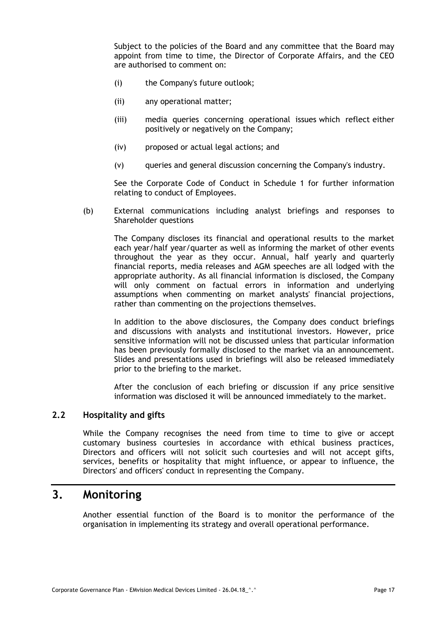Subject to the policies of the Board and any committee that the Board may appoint from time to time, the Director of Corporate Affairs, and the CEO are authorised to comment on:

- (i) the Company's future outlook;
- (ii) any operational matter;
- (iii) media queries concerning operational issues which reflect either positively or negatively on the Company;
- (iv) proposed or actual legal actions; and
- (v) queries and general discussion concerning the Company's industry.

See the Corporate Code of Conduct in Schedule 1 for further information relating to conduct of Employees.

(b) External communications including analyst briefings and responses to Shareholder questions

The Company discloses its financial and operational results to the market each year/half year/quarter as well as informing the market of other events throughout the year as they occur. Annual, half yearly and quarterly financial reports, media releases and AGM speeches are all lodged with the appropriate authority. As all financial information is disclosed, the Company will only comment on factual errors in information and underlying assumptions when commenting on market analysts' financial projections, rather than commenting on the projections themselves.

In addition to the above disclosures, the Company does conduct briefings and discussions with analysts and institutional investors. However, price sensitive information will not be discussed unless that particular information has been previously formally disclosed to the market via an announcement. Slides and presentations used in briefings will also be released immediately prior to the briefing to the market.

After the conclusion of each briefing or discussion if any price sensitive information was disclosed it will be announced immediately to the market.

### <span id="page-19-0"></span>**2.2 Hospitality and gifts**

While the Company recognises the need from time to time to give or accept customary business courtesies in accordance with ethical business practices, Directors and officers will not solicit such courtesies and will not accept gifts, services, benefits or hospitality that might influence, or appear to influence, the Directors' and officers' conduct in representing the Company.

## <span id="page-19-1"></span>**3. Monitoring**

Another essential function of the Board is to monitor the performance of the organisation in implementing its strategy and overall operational performance.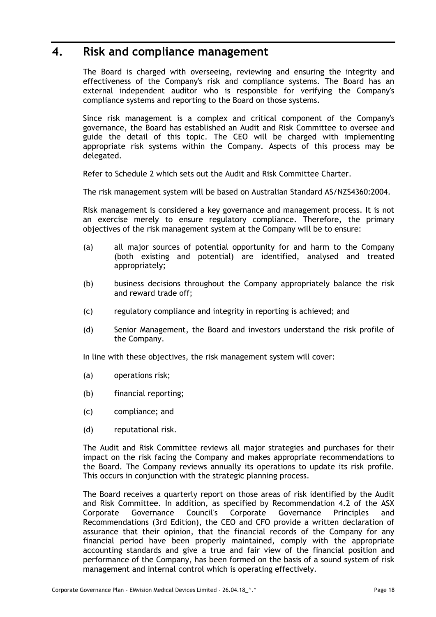## <span id="page-20-0"></span>**4. Risk and compliance management**

The Board is charged with overseeing, reviewing and ensuring the integrity and effectiveness of the Company's risk and compliance systems. The Board has an external independent auditor who is responsible for verifying the Company's compliance systems and reporting to the Board on those systems.

Since risk management is a complex and critical component of the Company's governance, the Board has established an Audit and Risk Committee to oversee and guide the detail of this topic. The CEO will be charged with implementing appropriate risk systems within the Company. Aspects of this process may be delegated.

Refer to Schedule 2 which sets out the Audit and Risk Committee Charter.

The risk management system will be based on Australian Standard AS/NZS4360:2004.

Risk management is considered a key governance and management process. It is not an exercise merely to ensure regulatory compliance. Therefore, the primary objectives of the risk management system at the Company will be to ensure:

- (a) all major sources of potential opportunity for and harm to the Company (both existing and potential) are identified, analysed and treated appropriately;
- (b) business decisions throughout the Company appropriately balance the risk and reward trade off;
- (c) regulatory compliance and integrity in reporting is achieved; and
- (d) Senior Management, the Board and investors understand the risk profile of the Company.

In line with these objectives, the risk management system will cover:

- (a) operations risk;
- (b) financial reporting;
- (c) compliance; and
- (d) reputational risk.

The Audit and Risk Committee reviews all major strategies and purchases for their impact on the risk facing the Company and makes appropriate recommendations to the Board. The Company reviews annually its operations to update its risk profile. This occurs in conjunction with the strategic planning process.

The Board receives a quarterly report on those areas of risk identified by the Audit and Risk Committee. In addition, as specified by Recommendation 4.2 of the ASX Corporate Governance Council's Corporate Governance Principles and Recommendations (3rd Edition), the CEO and CFO provide a written declaration of assurance that their opinion, that the financial records of the Company for any financial period have been properly maintained, comply with the appropriate accounting standards and give a true and fair view of the financial position and performance of the Company, has been formed on the basis of a sound system of risk management and internal control which is operating effectively.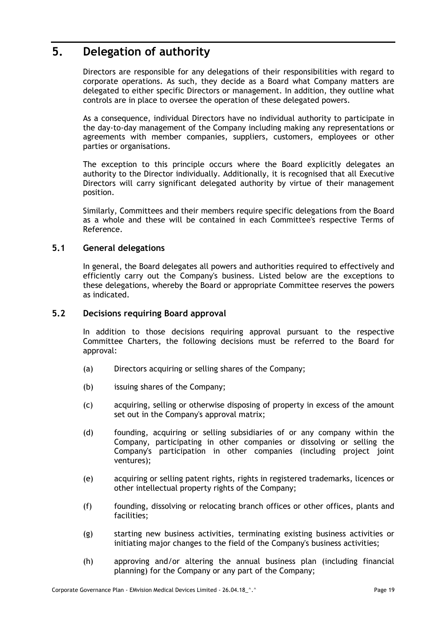## <span id="page-21-0"></span>**5. Delegation of authority**

Directors are responsible for any delegations of their responsibilities with regard to corporate operations. As such, they decide as a Board what Company matters are delegated to either specific Directors or management. In addition, they outline what controls are in place to oversee the operation of these delegated powers.

As a consequence, individual Directors have no individual authority to participate in the day-to-day management of the Company including making any representations or agreements with member companies, suppliers, customers, employees or other parties or organisations.

The exception to this principle occurs where the Board explicitly delegates an authority to the Director individually. Additionally, it is recognised that all Executive Directors will carry significant delegated authority by virtue of their management position.

Similarly, Committees and their members require specific delegations from the Board as a whole and these will be contained in each Committee's respective Terms of Reference.

### <span id="page-21-1"></span>**5.1 General delegations**

In general, the Board delegates all powers and authorities required to effectively and efficiently carry out the Company's business. Listed below are the exceptions to these delegations, whereby the Board or appropriate Committee reserves the powers as indicated.

#### <span id="page-21-2"></span>**5.2 Decisions requiring Board approval**

In addition to those decisions requiring approval pursuant to the respective Committee Charters, the following decisions must be referred to the Board for approval:

- (a) Directors acquiring or selling shares of the Company;
- (b) issuing shares of the Company;
- (c) acquiring, selling or otherwise disposing of property in excess of the amount set out in the Company's approval matrix;
- (d) founding, acquiring or selling subsidiaries of or any company within the Company, participating in other companies or dissolving or selling the Company's participation in other companies (including project joint ventures);
- (e) acquiring or selling patent rights, rights in registered trademarks, licences or other intellectual property rights of the Company;
- (f) founding, dissolving or relocating branch offices or other offices, plants and facilities;
- (g) starting new business activities, terminating existing business activities or initiating major changes to the field of the Company's business activities;
- (h) approving and/or altering the annual business plan (including financial planning) for the Company or any part of the Company;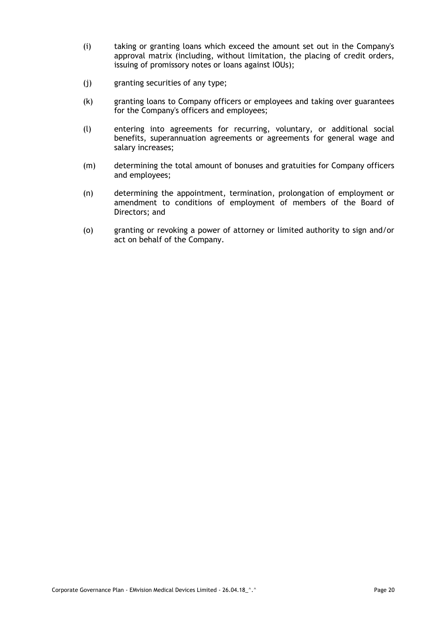- (i) taking or granting loans which exceed the amount set out in the Company's approval matrix (including, without limitation, the placing of credit orders, issuing of promissory notes or loans against IOUs);
- (j) granting securities of any type;
- (k) granting loans to Company officers or employees and taking over guarantees for the Company's officers and employees;
- (l) entering into agreements for recurring, voluntary, or additional social benefits, superannuation agreements or agreements for general wage and salary increases;
- (m) determining the total amount of bonuses and gratuities for Company officers and employees;
- (n) determining the appointment, termination, prolongation of employment or amendment to conditions of employment of members of the Board of Directors; and
- (o) granting or revoking a power of attorney or limited authority to sign and/or act on behalf of the Company.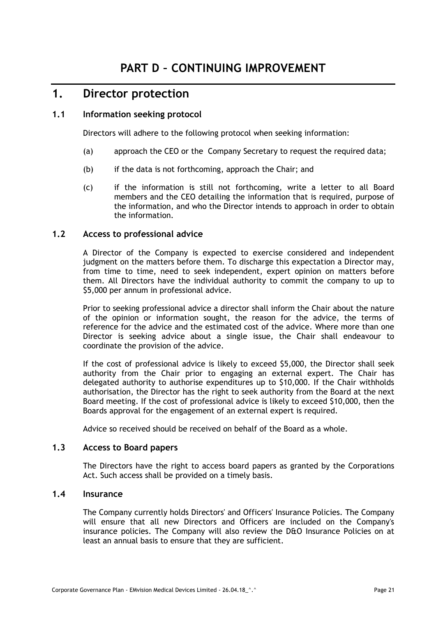## <span id="page-23-1"></span><span id="page-23-0"></span>**1. Director protection**

### <span id="page-23-2"></span>**1.1 Information seeking protocol**

Directors will adhere to the following protocol when seeking information:

- (a) approach the CEO or the Company Secretary to request the required data;
- (b) if the data is not forthcoming, approach the Chair; and
- (c) if the information is still not forthcoming, write a letter to all Board members and the CEO detailing the information that is required, purpose of the information, and who the Director intends to approach in order to obtain the information.

### <span id="page-23-3"></span>**1.2 Access to professional advice**

A Director of the Company is expected to exercise considered and independent judgment on the matters before them. To discharge this expectation a Director may, from time to time, need to seek independent, expert opinion on matters before them. All Directors have the individual authority to commit the company to up to \$5,000 per annum in professional advice.

Prior to seeking professional advice a director shall inform the Chair about the nature of the opinion or information sought, the reason for the advice, the terms of reference for the advice and the estimated cost of the advice. Where more than one Director is seeking advice about a single issue, the Chair shall endeavour to coordinate the provision of the advice.

If the cost of professional advice is likely to exceed \$5,000, the Director shall seek authority from the Chair prior to engaging an external expert. The Chair has delegated authority to authorise expenditures up to \$10,000. If the Chair withholds authorisation, the Director has the right to seek authority from the Board at the next Board meeting. If the cost of professional advice is likely to exceed \$10,000, then the Boards approval for the engagement of an external expert is required.

Advice so received should be received on behalf of the Board as a whole.

#### <span id="page-23-4"></span>**1.3 Access to Board papers**

The Directors have the right to access board papers as granted by the Corporations Act. Such access shall be provided on a timely basis.

#### <span id="page-23-5"></span>**1.4 Insurance**

The Company currently holds Directors' and Officers' Insurance Policies. The Company will ensure that all new Directors and Officers are included on the Company's insurance policies. The Company will also review the D&O Insurance Policies on at least an annual basis to ensure that they are sufficient.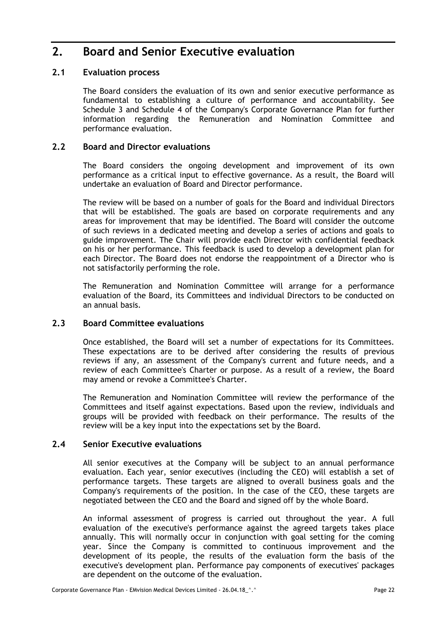## <span id="page-24-0"></span>**2. Board and Senior Executive evaluation**

### <span id="page-24-1"></span>**2.1 Evaluation process**

The Board considers the evaluation of its own and senior executive performance as fundamental to establishing a culture of performance and accountability. See Schedule 3 and Schedule 4 of the Company's Corporate Governance Plan for further information regarding the Remuneration and Nomination Committee and performance evaluation.

### <span id="page-24-2"></span>**2.2 Board and Director evaluations**

The Board considers the ongoing development and improvement of its own performance as a critical input to effective governance. As a result, the Board will undertake an evaluation of Board and Director performance.

The review will be based on a number of goals for the Board and individual Directors that will be established. The goals are based on corporate requirements and any areas for improvement that may be identified. The Board will consider the outcome of such reviews in a dedicated meeting and develop a series of actions and goals to guide improvement. The Chair will provide each Director with confidential feedback on his or her performance. This feedback is used to develop a development plan for each Director. The Board does not endorse the reappointment of a Director who is not satisfactorily performing the role.

The Remuneration and Nomination Committee will arrange for a performance evaluation of the Board, its Committees and individual Directors to be conducted on an annual basis.

### <span id="page-24-3"></span>**2.3 Board Committee evaluations**

Once established, the Board will set a number of expectations for its Committees. These expectations are to be derived after considering the results of previous reviews if any, an assessment of the Company's current and future needs, and a review of each Committee's Charter or purpose. As a result of a review, the Board may amend or revoke a Committee's Charter.

The Remuneration and Nomination Committee will review the performance of the Committees and itself against expectations. Based upon the review, individuals and groups will be provided with feedback on their performance. The results of the review will be a key input into the expectations set by the Board.

### <span id="page-24-4"></span>**2.4 Senior Executive evaluations**

All senior executives at the Company will be subject to an annual performance evaluation. Each year, senior executives (including the CEO) will establish a set of performance targets. These targets are aligned to overall business goals and the Company's requirements of the position. In the case of the CEO, these targets are negotiated between the CEO and the Board and signed off by the whole Board.

An informal assessment of progress is carried out throughout the year. A full evaluation of the executive's performance against the agreed targets takes place annually. This will normally occur in conjunction with goal setting for the coming year. Since the Company is committed to continuous improvement and the development of its people, the results of the evaluation form the basis of the executive's development plan. Performance pay components of executives' packages are dependent on the outcome of the evaluation.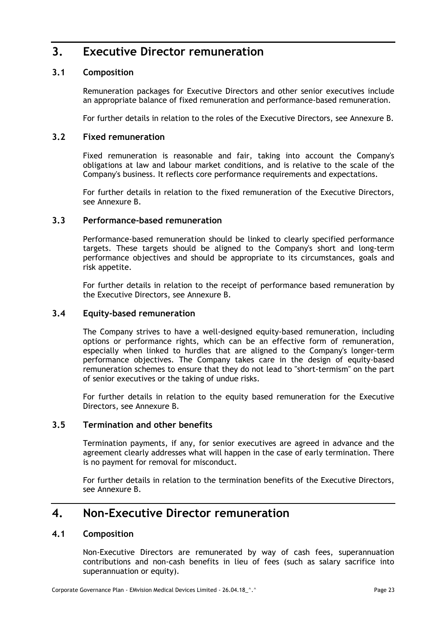## <span id="page-25-0"></span>**3. Executive Director remuneration**

### <span id="page-25-1"></span>**3.1 Composition**

Remuneration packages for Executive Directors and other senior executives include an appropriate balance of fixed remuneration and performance-based remuneration.

For further details in relation to the roles of the Executive Directors, see Annexure B.

### <span id="page-25-2"></span>**3.2 Fixed remuneration**

Fixed remuneration is reasonable and fair, taking into account the Company's obligations at law and labour market conditions, and is relative to the scale of the Company's business. It reflects core performance requirements and expectations.

For further details in relation to the fixed remuneration of the Executive Directors, see Annexure B.

### <span id="page-25-3"></span>**3.3 Performance-based remuneration**

Performance-based remuneration should be linked to clearly specified performance targets. These targets should be aligned to the Company's short and long-term performance objectives and should be appropriate to its circumstances, goals and risk appetite.

For further details in relation to the receipt of performance based remuneration by the Executive Directors, see Annexure B.

#### <span id="page-25-4"></span>**3.4 Equity-based remuneration**

The Company strives to have a well-designed equity-based remuneration, including options or performance rights, which can be an effective form of remuneration, especially when linked to hurdles that are aligned to the Company's longer-term performance objectives. The Company takes care in the design of equity-based remuneration schemes to ensure that they do not lead to "short-termism" on the part of senior executives or the taking of undue risks.

For further details in relation to the equity based remuneration for the Executive Directors, see Annexure B.

#### <span id="page-25-5"></span>**3.5 Termination and other benefits**

Termination payments, if any, for senior executives are agreed in advance and the agreement clearly addresses what will happen in the case of early termination. There is no payment for removal for misconduct.

For further details in relation to the termination benefits of the Executive Directors, see Annexure B.

## <span id="page-25-6"></span>**4. Non-Executive Director remuneration**

#### <span id="page-25-7"></span>**4.1 Composition**

Non-Executive Directors are remunerated by way of cash fees, superannuation contributions and non-cash benefits in lieu of fees (such as salary sacrifice into superannuation or equity).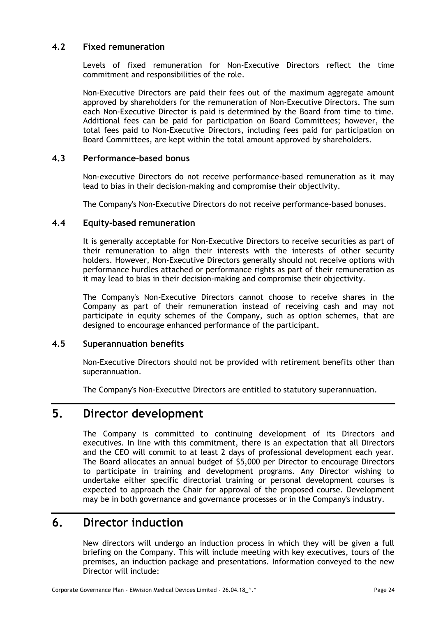### <span id="page-26-0"></span>**4.2 Fixed remuneration**

Levels of fixed remuneration for Non-Executive Directors reflect the time commitment and responsibilities of the role.

Non-Executive Directors are paid their fees out of the maximum aggregate amount approved by shareholders for the remuneration of Non-Executive Directors. The sum each Non-Executive Director is paid is determined by the Board from time to time. Additional fees can be paid for participation on Board Committees; however, the total fees paid to Non-Executive Directors, including fees paid for participation on Board Committees, are kept within the total amount approved by shareholders.

### <span id="page-26-1"></span>**4.3 Performance-based bonus**

Non-executive Directors do not receive performance-based remuneration as it may lead to bias in their decision-making and compromise their objectivity.

The Company's Non-Executive Directors do not receive performance-based bonuses.

#### <span id="page-26-2"></span>**4.4 Equity-based remuneration**

It is generally acceptable for Non-Executive Directors to receive securities as part of their remuneration to align their interests with the interests of other security holders. However, Non-Executive Directors generally should not receive options with performance hurdles attached or performance rights as part of their remuneration as it may lead to bias in their decision-making and compromise their objectivity.

The Company's Non-Executive Directors cannot choose to receive shares in the Company as part of their remuneration instead of receiving cash and may not participate in equity schemes of the Company, such as option schemes, that are designed to encourage enhanced performance of the participant.

#### <span id="page-26-3"></span>**4.5 Superannuation benefits**

Non-Executive Directors should not be provided with retirement benefits other than superannuation.

The Company's Non-Executive Directors are entitled to statutory superannuation.

# <span id="page-26-4"></span>**5. Director development**

The Company is committed to continuing development of its Directors and executives. In line with this commitment, there is an expectation that all Directors and the CEO will commit to at least 2 days of professional development each year. The Board allocates an annual budget of \$5,000 per Director to encourage Directors to participate in training and development programs. Any Director wishing to undertake either specific directorial training or personal development courses is expected to approach the Chair for approval of the proposed course. Development may be in both governance and governance processes or in the Company's industry.

## <span id="page-26-5"></span>**6. Director induction**

New directors will undergo an induction process in which they will be given a full briefing on the Company. This will include meeting with key executives, tours of the premises, an induction package and presentations. Information conveyed to the new Director will include: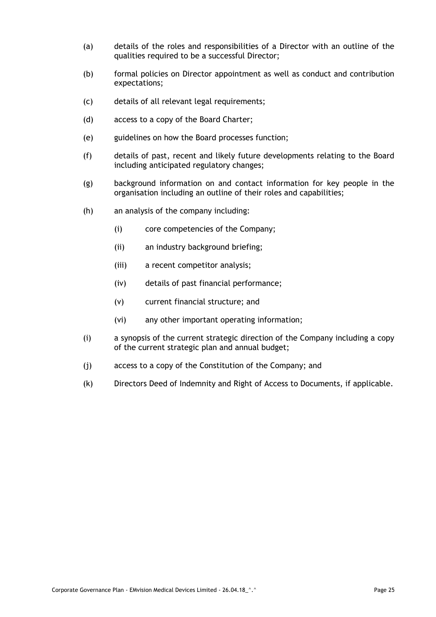- (a) details of the roles and responsibilities of a Director with an outline of the qualities required to be a successful Director;
- (b) formal policies on Director appointment as well as conduct and contribution expectations;
- (c) details of all relevant legal requirements;
- (d) access to a copy of the Board Charter;
- (e) guidelines on how the Board processes function;
- (f) details of past, recent and likely future developments relating to the Board including anticipated regulatory changes;
- (g) background information on and contact information for key people in the organisation including an outline of their roles and capabilities;
- (h) an analysis of the company including:
	- (i) core competencies of the Company;
	- (ii) an industry background briefing;
	- (iii) a recent competitor analysis;
	- (iv) details of past financial performance;
	- (v) current financial structure; and
	- (vi) any other important operating information;
- (i) a synopsis of the current strategic direction of the Company including a copy of the current strategic plan and annual budget;
- (j) access to a copy of the Constitution of the Company; and
- (k) Directors Deed of Indemnity and Right of Access to Documents, if applicable.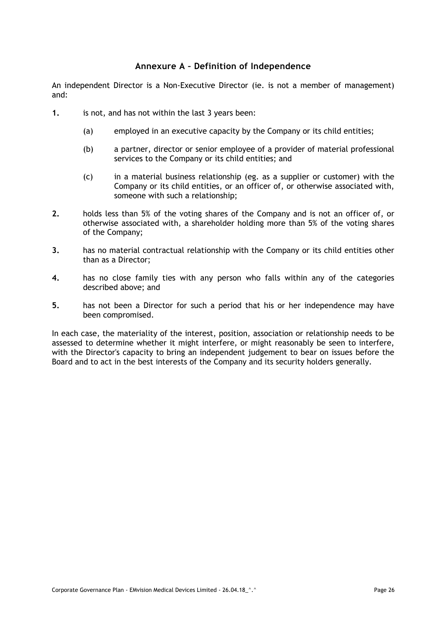### **Annexure A – Definition of Independence**

<span id="page-28-0"></span>An independent Director is a Non-Executive Director (ie. is not a member of management) and:

- **1.** is not, and has not within the last 3 years been:
	- (a) employed in an executive capacity by the Company or its child entities;
	- (b) a partner, director or senior employee of a provider of material professional services to the Company or its child entities; and
	- (c) in a material business relationship (eg. as a supplier or customer) with the Company or its child entities, or an officer of, or otherwise associated with, someone with such a relationship;
- **2.** holds less than 5% of the voting shares of the Company and is not an officer of, or otherwise associated with, a shareholder holding more than 5% of the voting shares of the Company;
- **3.** has no material contractual relationship with the Company or its child entities other than as a Director;
- **4.** has no close family ties with any person who falls within any of the categories described above; and
- **5.** has not been a Director for such a period that his or her independence may have been compromised.

In each case, the materiality of the interest, position, association or relationship needs to be assessed to determine whether it might interfere, or might reasonably be seen to interfere, with the Director's capacity to bring an independent judgement to bear on issues before the Board and to act in the best interests of the Company and its security holders generally.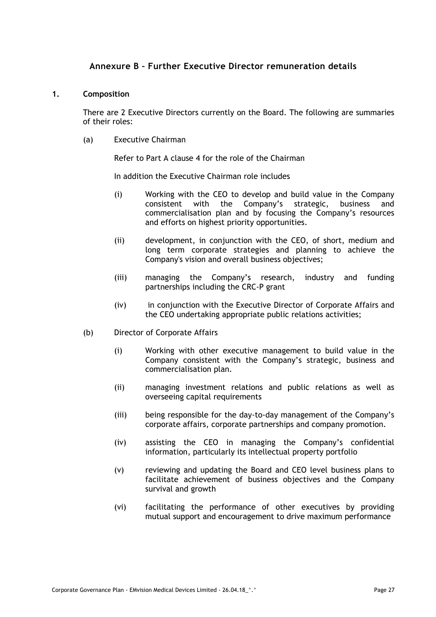### **Annexure B – Further Executive Director remuneration details**

#### <span id="page-29-0"></span>**1. Composition**

There are 2 Executive Directors currently on the Board. The following are summaries of their roles:

(a) Executive Chairman

Refer to Part A clause 4 for the role of the Chairman

In addition the Executive Chairman role includes

- (i) Working with the CEO to develop and build value in the Company consistent with the Company's strategic, business and commercialisation plan and by focusing the Company's resources and efforts on highest priority opportunities.
- (ii) development, in conjunction with the CEO, of short, medium and long term corporate strategies and planning to achieve the Company's vision and overall business objectives;
- (iii) managing the Company's research, industry and funding partnerships including the CRC-P grant
- (iv) in conjunction with the Executive Director of Corporate Affairs and the CEO undertaking appropriate public relations activities;
- (b) Director of Corporate Affairs
	- (i) Working with other executive management to build value in the Company consistent with the Company's strategic, business and commercialisation plan.
	- (ii) managing investment relations and public relations as well as overseeing capital requirements
	- (iii) being responsible for the day-to-day management of the Company's corporate affairs, corporate partnerships and company promotion.
	- (iv) assisting the CEO in managing the Company's confidential information, particularly its intellectual property portfolio
	- (v) reviewing and updating the Board and CEO level business plans to facilitate achievement of business objectives and the Company survival and growth
	- (vi) facilitating the performance of other executives by providing mutual support and encouragement to drive maximum performance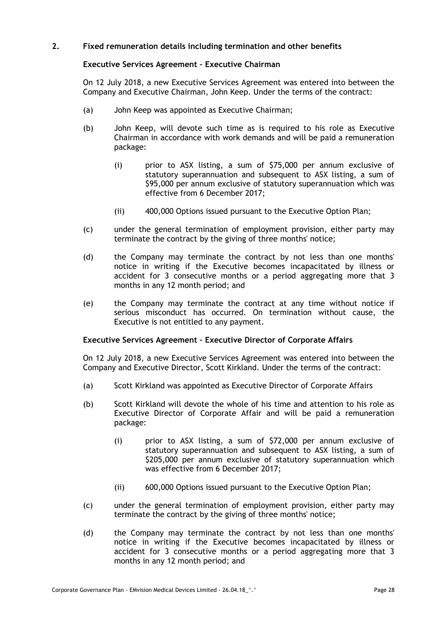#### **2. Fixed remuneration details including termination and other benefits**

#### **Executive Services Agreement – Executive Chairman**

On 12 July 2018, a new Executive Services Agreement was entered into between the Company and Executive Chairman, John Keep. Under the terms of the contract:

- (a) John Keep was appointed as Executive Chairman;
- (b) John Keep, will devote such time as is required to his role as Executive Chairman in accordance with work demands and will be paid a remuneration package:
	- (i) prior to ASX listing, a sum of \$75,000 per annum exclusive of statutory superannuation and subsequent to ASX listing, a sum of \$95,000 per annum exclusive of statutory superannuation which was effective from 6 December 2017;
	- (ii) 400,000 Options issued pursuant to the Executive Option Plan;
- (c) under the general termination of employment provision, either party may terminate the contract by the giving of three months' notice;
- (d) the Company may terminate the contract by not less than one months' notice in writing if the Executive becomes incapacitated by illness or accident for 3 consecutive months or a period aggregating more that 3 months in any 12 month period; and
- (e) the Company may terminate the contract at any time without notice if serious misconduct has occurred. On termination without cause, the Executive is not entitled to any payment.

#### **Executive Services Agreement – Executive Director of Corporate Affairs**

On 12 July 2018, a new Executive Services Agreement was entered into between the Company and Executive Director, Scott Kirkland. Under the terms of the contract:

- (a) Scott Kirkland was appointed as Executive Director of Corporate Affairs
- (b) Scott Kirkland will devote the whole of his time and attention to his role as Executive Director of Corporate Affair and will be paid a remuneration package:
	- (i) prior to ASX listing, a sum of \$72,000 per annum exclusive of statutory superannuation and subsequent to ASX listing, a sum of \$205,000 per annum exclusive of statutory superannuation which was effective from 6 December 2017;
	- (ii) 600,000 Options issued pursuant to the Executive Option Plan;
- (c) under the general termination of employment provision, either party may terminate the contract by the giving of three months' notice;
- (d) the Company may terminate the contract by not less than one months' notice in writing if the Executive becomes incapacitated by illness or accident for 3 consecutive months or a period aggregating more that 3 months in any 12 month period; and